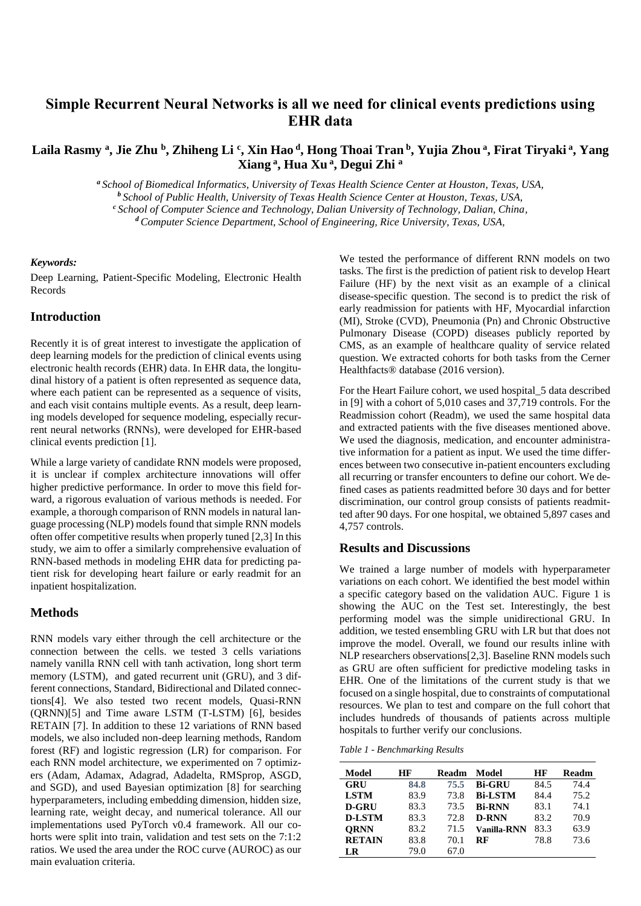# **Simple Recurrent Neural Networks is all we need for clinical events predictions using EHR data**

# Laila Rasmy ª, Jie Zhu ʰ, Zhiheng Li ˤ, Xin Hao <sup>d</sup>, Hong Thoai Tran ʰ, Yujia Zhou ª, Firat Tiryaki ª, Yang **Xiang <sup>a</sup> , Hua Xu <sup>a</sup> , Degui Zhi <sup>a</sup>**

*<sup>a</sup> School of Biomedical Informatics, University of Texas Health Science Center at Houston, Texas, USA, <sup>b</sup> School of Public Health, University of Texas Health Science Center at Houston, Texas, USA,* 

*<sup>c</sup> School of Computer Science and Technology, Dalian University of Technology, Dalian, China,*

*<sup>d</sup> Computer Science Department, School of Engineering, Rice University, Texas, USA,* 

#### *Keywords:*

Deep Learning, Patient-Specific Modeling, Electronic Health Records

### **Introduction**

Recently it is of great interest to investigate the application of deep learning models for the prediction of clinical events using electronic health records (EHR) data. In EHR data, the longitudinal history of a patient is often represented as sequence data, where each patient can be represented as a sequence of visits, and each visit contains multiple events. As a result, deep learning models developed for sequence modeling, especially recurrent neural networks (RNNs), were developed for EHR-based clinical events prediction [1].

While a large variety of candidate RNN models were proposed, it is unclear if complex architecture innovations will offer higher predictive performance. In order to move this field forward, a rigorous evaluation of various methods is needed. For example, a thorough comparison of RNN models in natural language processing (NLP) models found that simple RNN models often offer competitive results when properly tuned [2,3] In this study, we aim to offer a similarly comprehensive evaluation of RNN-based methods in modeling EHR data for predicting patient risk for developing heart failure or early readmit for an inpatient hospitalization.

#### **Methods**

RNN models vary either through the cell architecture or the connection between the cells. we tested 3 cells variations namely vanilla RNN cell with tanh activation, long short term memory (LSTM), and gated recurrent unit (GRU), and 3 different connections, Standard, Bidirectional and Dilated connections[4]. We also tested two recent models, Quasi-RNN (QRNN)[5] and Time aware LSTM (T-LSTM) [6], besides RETAIN [7]. In addition to these 12 variations of RNN based models, we also included non-deep learning methods, Random forest (RF) and logistic regression (LR) for comparison. For each RNN model architecture, we experimented on 7 optimizers (Adam, Adamax, Adagrad, Adadelta, RMSprop, ASGD, and SGD), and used Bayesian optimization [8] for searching hyperparameters, including embedding dimension, hidden size, learning rate, weight decay, and numerical tolerance. All our implementations used PyTorch v0.4 framework. All our cohorts were split into train, validation and test sets on the 7:1:2 ratios. We used the area under the ROC curve (AUROC) as our main evaluation criteria.

We tested the performance of different RNN models on two tasks. The first is the prediction of patient risk to develop Heart Failure (HF) by the next visit as an example of a clinical disease-specific question. The second is to predict the risk of early readmission for patients with HF, Myocardial infarction (MI), Stroke (CVD), Pneumonia (Pn) and Chronic Obstructive Pulmonary Disease (COPD) diseases publicly reported by CMS, as an example of healthcare quality of service related question. We extracted cohorts for both tasks from the Cerner Healthfacts® database (2016 version).

For the Heart Failure cohort, we used hospital\_5 data described in [9] with a cohort of 5,010 cases and 37,719 controls. For the Readmission cohort (Readm), we used the same hospital data and extracted patients with the five diseases mentioned above. We used the diagnosis, medication, and encounter administrative information for a patient as input. We used the time differences between two consecutive in-patient encounters excluding all recurring or transfer encounters to define our cohort. We defined cases as patients readmitted before 30 days and for better discrimination, our control group consists of patients readmitted after 90 days. For one hospital, we obtained 5,897 cases and 4,757 controls.

## **Results and Discussions**

We trained a large number of models with hyperparameter variations on each cohort. We identified the best model within a specific category based on the validation AUC. Figure 1 is showing the AUC on the Test set. Interestingly, the best performing model was the simple unidirectional GRU. In addition, we tested ensembling GRU with LR but that does not improve the model. Overall, we found our results inline with NLP researchers observations[2,3]. Baseline RNN models such as GRU are often sufficient for predictive modeling tasks in EHR. One of the limitations of the current study is that we focused on a single hospital, due to constraints of computational resources. We plan to test and compare on the full cohort that includes hundreds of thousands of patients across multiple hospitals to further verify our conclusions.

*Table 1 - Benchmarking Results*

| Model         | НF   | <b>Readm</b> | Model              | НF   | Readm |
|---------------|------|--------------|--------------------|------|-------|
| GRU           | 84.8 | 75.5         | <b>Bi-GRU</b>      | 84.5 | 74.4  |
| <b>LSTM</b>   | 83.9 | 73.8         | <b>Bi-LSTM</b>     | 84.4 | 75.2  |
| <b>D-GRU</b>  | 83.3 | 73.5         | <b>Bi-RNN</b>      | 83.1 | 74.1  |
| <b>D-LSTM</b> | 83.3 | 72.8         | <b>D-RNN</b>       | 83.2 | 70.9  |
| <b>ORNN</b>   | 83.2 | 71.5         | <b>Vanilla-RNN</b> | 83.3 | 63.9  |
| <b>RETAIN</b> | 83.8 | 70.1         | RF                 | 78.8 | 73.6  |
| LR            | 79.0 | 67.0         |                    |      |       |